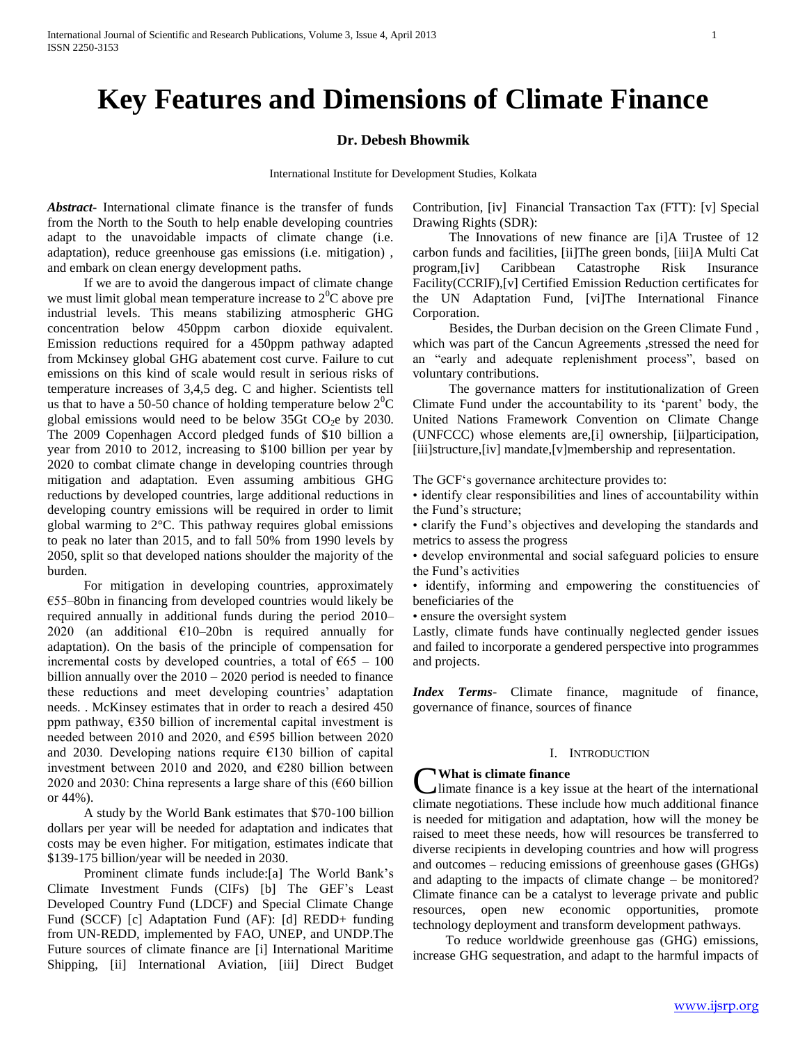# **Key Features and Dimensions of Climate Finance**

#### **Dr. Debesh Bhowmik**

International Institute for Development Studies, Kolkata

*Abstract***-** International climate finance is the transfer of funds from the North to the South to help enable developing countries adapt to the unavoidable impacts of climate change (i.e. adaptation), reduce greenhouse gas emissions (i.e. mitigation) , and embark on clean energy development paths.

 If we are to avoid the dangerous impact of climate change we must limit global mean temperature increase to  $2^{0}C$  above pre industrial levels. This means stabilizing atmospheric GHG concentration below 450ppm carbon dioxide equivalent. Emission reductions required for a 450ppm pathway adapted from Mckinsey global GHG abatement cost curve. Failure to cut emissions on this kind of scale would result in serious risks of temperature increases of 3,4,5 deg. C and higher. Scientists tell us that to have a 50-50 chance of holding temperature below  $2^{0}C$ global emissions would need to be below 35Gt  $CO<sub>2</sub>e$  by 2030. The 2009 Copenhagen Accord pledged funds of \$10 billion a year from 2010 to 2012, increasing to \$100 billion per year by 2020 to combat climate change in developing countries through mitigation and adaptation. Even assuming ambitious GHG reductions by developed countries, large additional reductions in developing country emissions will be required in order to limit global warming to 2°C. This pathway requires global emissions to peak no later than 2015, and to fall 50% from 1990 levels by 2050, split so that developed nations shoulder the majority of the burden.

 For mitigation in developing countries, approximately €55–80bn in financing from developed countries would likely be required annually in additional funds during the period 2010– 2020 (an additional  $E10-20$ bn is required annually for adaptation). On the basis of the principle of compensation for incremental costs by developed countries, a total of  $\epsilon$ 65 – 100 billion annually over the  $2010 - 2020$  period is needed to finance these reductions and meet developing countries' adaptation needs. . McKinsey estimates that in order to reach a desired 450 ppm pathway,  $\epsilon$ 350 billion of incremental capital investment is needed between 2010 and 2020, and €595 billion between 2020 and 2030. Developing nations require  $£130$  billion of capital investment between 2010 and 2020, and €280 billion between 2020 and 2030: China represents a large share of this (€60 billion or 44%).

 A study by the World Bank estimates that \$70-100 billion dollars per year will be needed for adaptation and indicates that costs may be even higher. For mitigation, estimates indicate that \$139-175 billion/year will be needed in 2030.

 Prominent climate funds include:[a] The World Bank's Climate Investment Funds (CIFs) [b] The GEF's Least Developed Country Fund (LDCF) and Special Climate Change Fund (SCCF) [c] Adaptation Fund (AF): [d] REDD+ funding from UN-REDD, implemented by FAO, UNEP, and UNDP.The Future sources of climate finance are [i] International Maritime Shipping, [ii] International Aviation, [iii] Direct Budget Contribution, [iv] Financial Transaction Tax (FTT): [v] Special Drawing Rights (SDR):

 The Innovations of new finance are [i]A Trustee of 12 carbon funds and facilities, [ii]The green bonds, [iii]A Multi Cat program,[iv] Caribbean Catastrophe Risk Insurance Facility(CCRIF),[v] Certified Emission Reduction certificates for the UN Adaptation Fund, [vi]The International Finance Corporation.

 Besides, the Durban decision on the Green Climate Fund , which was part of the Cancun Agreements ,stressed the need for an "early and adequate replenishment process", based on voluntary contributions.

 The governance matters for institutionalization of Green Climate Fund under the accountability to its 'parent' body, the United Nations Framework Convention on Climate Change (UNFCCC) whose elements are,[i] ownership, [ii]participation, [iii]structure,[iv] mandate,[v]membership and representation.

The GCF's governance architecture provides to:

• identify clear responsibilities and lines of accountability within the Fund's structure;

• clarify the Fund's objectives and developing the standards and metrics to assess the progress

• develop environmental and social safeguard policies to ensure the Fund's activities

• identify, informing and empowering the constituencies of beneficiaries of the

• ensure the oversight system

Lastly, climate funds have continually neglected gender issues and failed to incorporate a gendered perspective into programmes and projects.

*Index Terms*- Climate finance, magnitude of finance, governance of finance, sources of finance

## I. INTRODUCTION

## **What is climate finance**

limate finance is a key issue at the heart of the international **C**What is climate finance<br>climate finance is a key issue at the heart of the international<br>climate negotiations. These include how much additional finance is needed for mitigation and adaptation, how will the money be raised to meet these needs, how will resources be transferred to diverse recipients in developing countries and how will progress and outcomes – reducing emissions of greenhouse gases (GHGs) and adapting to the impacts of climate change – be monitored? Climate finance can be a catalyst to leverage private and public resources, open new economic opportunities, promote technology deployment and transform development pathways.

 To reduce worldwide greenhouse gas (GHG) emissions, increase GHG sequestration, and adapt to the harmful impacts of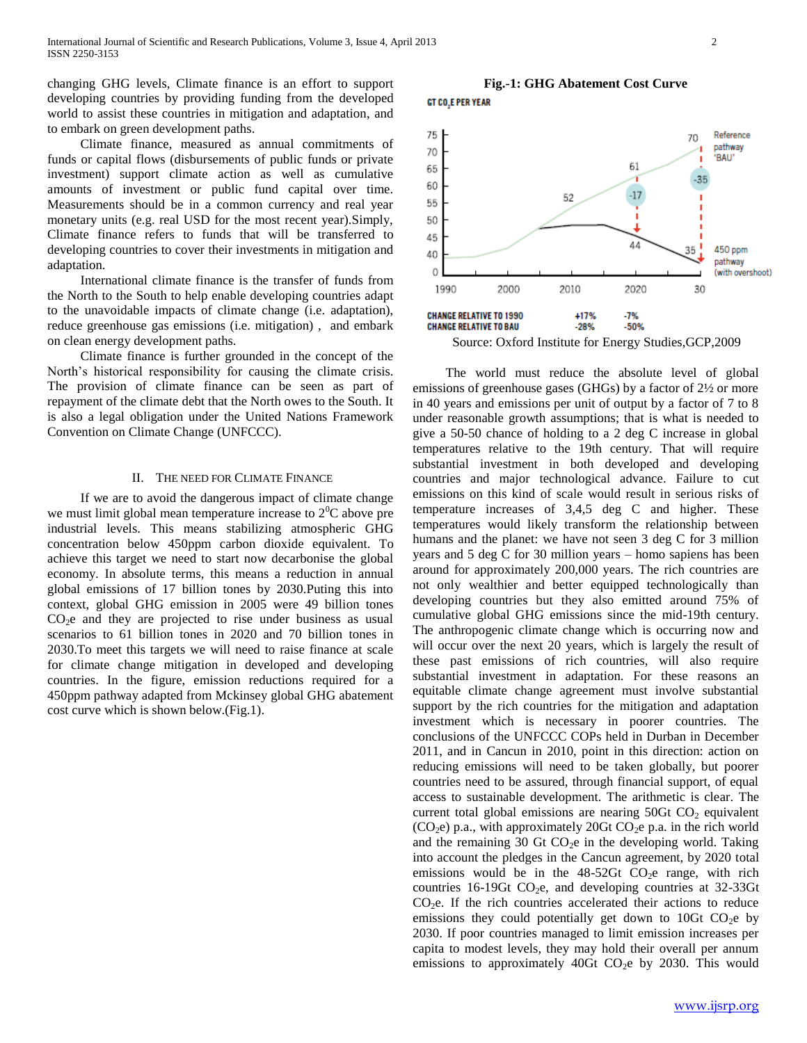changing GHG levels, Climate finance is an effort to support developing countries by providing funding from the developed world to assist these countries in mitigation and adaptation, and to embark on green development paths.

 Climate finance, measured as annual commitments of funds or capital flows (disbursements of public funds or private investment) support climate action as well as cumulative amounts of investment or public fund capital over time. Measurements should be in a common currency and real year monetary units (e.g. real USD for the most recent year).Simply, Climate finance refers to funds that will be transferred to developing countries to cover their investments in mitigation and adaptation.

 International climate finance is the transfer of funds from the North to the South to help enable developing countries adapt to the unavoidable impacts of climate change (i.e. adaptation), reduce greenhouse gas emissions (i.e. mitigation) , and embark on clean energy development paths.

 Climate finance is further grounded in the concept of the North's historical responsibility for causing the climate crisis. The provision of climate finance can be seen as part of repayment of the climate debt that the North owes to the South. It is also a legal obligation under the United Nations Framework Convention on Climate Change (UNFCCC).

#### II. THE NEED FOR CLIMATE FINANCE

 If we are to avoid the dangerous impact of climate change we must limit global mean temperature increase to  $2^{0}C$  above pre industrial levels. This means stabilizing atmospheric GHG concentration below 450ppm carbon dioxide equivalent. To achieve this target we need to start now decarbonise the global economy. In absolute terms, this means a reduction in annual global emissions of 17 billion tones by 2030.Puting this into context, global GHG emission in 2005 were 49 billion tones  $CO<sub>2</sub>e$  and they are projected to rise under business as usual scenarios to 61 billion tones in 2020 and 70 billion tones in 2030.To meet this targets we will need to raise finance at scale for climate change mitigation in developed and developing countries. In the figure, emission reductions required for a 450ppm pathway adapted from Mckinsey global GHG abatement cost curve which is shown below.(Fig.1).

## **Fig.-1: GHG Abatement Cost Curve** GT CO<sub>2</sub>E PER YEAR



Source: Oxford Institute for Energy Studies,GCP,2009

 The world must reduce the absolute level of global emissions of greenhouse gases (GHGs) by a factor of 2½ or more in 40 years and emissions per unit of output by a factor of 7 to 8 under reasonable growth assumptions; that is what is needed to give a 50-50 chance of holding to a 2 deg C increase in global temperatures relative to the 19th century. That will require substantial investment in both developed and developing countries and major technological advance. Failure to cut emissions on this kind of scale would result in serious risks of temperature increases of 3,4,5 deg C and higher. These temperatures would likely transform the relationship between humans and the planet: we have not seen 3 deg C for 3 million years and 5 deg C for 30 million years – homo sapiens has been around for approximately 200,000 years. The rich countries are not only wealthier and better equipped technologically than developing countries but they also emitted around 75% of cumulative global GHG emissions since the mid-19th century. The anthropogenic climate change which is occurring now and will occur over the next 20 years, which is largely the result of these past emissions of rich countries, will also require substantial investment in adaptation. For these reasons an equitable climate change agreement must involve substantial support by the rich countries for the mitigation and adaptation investment which is necessary in poorer countries. The conclusions of the UNFCCC COPs held in Durban in December 2011, and in Cancun in 2010, point in this direction: action on reducing emissions will need to be taken globally, but poorer countries need to be assured, through financial support, of equal access to sustainable development. The arithmetic is clear. The current total global emissions are nearing  $50Gt CO<sub>2</sub>$  equivalent  $(CO<sub>2</sub>e)$  p.a., with approximately 20Gt  $CO<sub>2</sub>e$  p.a. in the rich world and the remaining 30 Gt  $CO<sub>2</sub>e$  in the developing world. Taking into account the pledges in the Cancun agreement, by 2020 total emissions would be in the  $48-52$ Gt CO<sub>2</sub>e range, with rich countries 16-19Gt  $CO<sub>2</sub>e$ , and developing countries at 32-33Gt  $CO<sub>2</sub>e$ . If the rich countries accelerated their actions to reduce emissions they could potentially get down to 10Gt  $CO<sub>2</sub>e$  by 2030. If poor countries managed to limit emission increases per capita to modest levels, they may hold their overall per annum emissions to approximately 40Gt  $CO<sub>2</sub>e$  by 2030. This would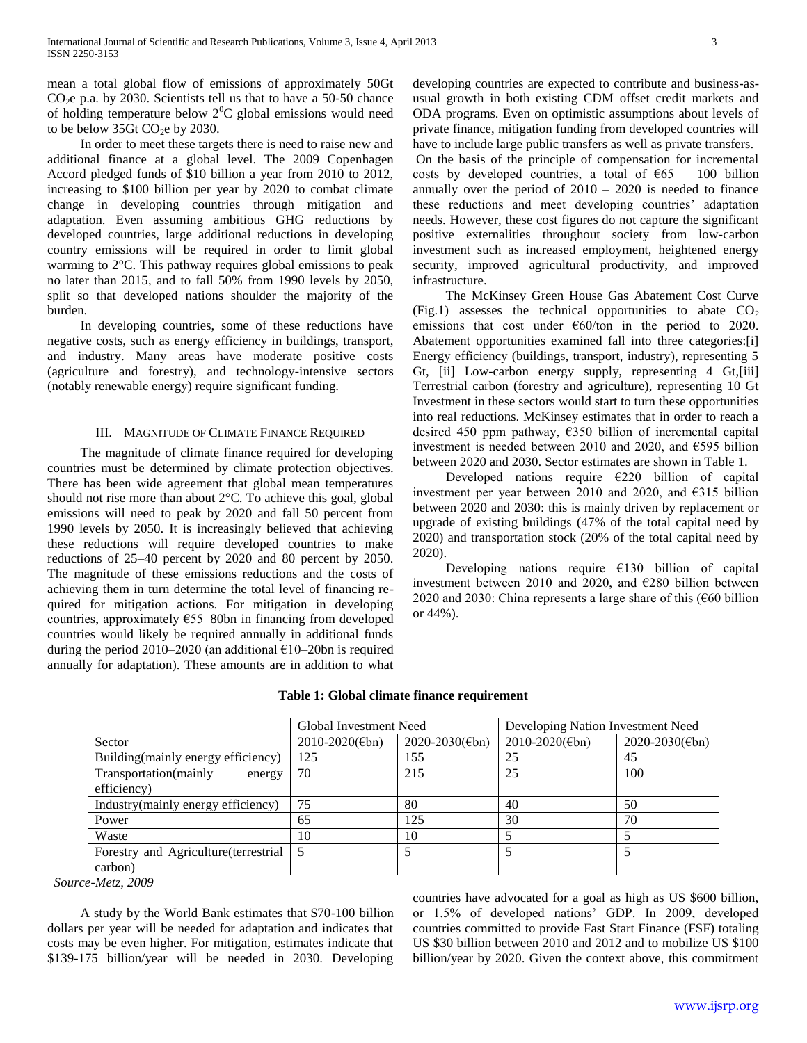mean a total global flow of emissions of approximately 50Gt  $CO<sub>2</sub>e$  p.a. by 2030. Scientists tell us that to have a 50-50 chance of holding temperature below  $2^{0}C$  global emissions would need to be below 35Gt  $CO<sub>2</sub>e$  by 2030.

 In order to meet these targets there is need to raise new and additional finance at a global level. The 2009 Copenhagen Accord pledged funds of \$10 billion a year from 2010 to 2012, increasing to \$100 billion per year by 2020 to combat climate change in developing countries through mitigation and adaptation. Even assuming ambitious GHG reductions by developed countries, large additional reductions in developing country emissions will be required in order to limit global warming to 2°C. This pathway requires global emissions to peak no later than 2015, and to fall 50% from 1990 levels by 2050, split so that developed nations shoulder the majority of the burden.

 In developing countries, some of these reductions have negative costs, such as energy efficiency in buildings, transport, and industry. Many areas have moderate positive costs (agriculture and forestry), and technology-intensive sectors (notably renewable energy) require significant funding.

### III. MAGNITUDE OF CLIMATE FINANCE REQUIRED

 The magnitude of climate finance required for developing countries must be determined by climate protection objectives. There has been wide agreement that global mean temperatures should not rise more than about 2°C. To achieve this goal, global emissions will need to peak by 2020 and fall 50 percent from 1990 levels by 2050. It is increasingly believed that achieving these reductions will require developed countries to make reductions of 25–40 percent by 2020 and 80 percent by 2050. The magnitude of these emissions reductions and the costs of achieving them in turn determine the total level of financing required for mitigation actions. For mitigation in developing countries, approximately  $E$ 55–80bn in financing from developed countries would likely be required annually in additional funds during the period 2010–2020 (an additional  $E10-20$ bn is required annually for adaptation). These amounts are in addition to what developing countries are expected to contribute and business-asusual growth in both existing CDM offset credit markets and ODA programs. Even on optimistic assumptions about levels of private finance, mitigation funding from developed countries will have to include large public transfers as well as private transfers. On the basis of the principle of compensation for incremental

costs by developed countries, a total of  $665 - 100$  billion annually over the period of 2010 – 2020 is needed to finance these reductions and meet developing countries' adaptation needs. However, these cost figures do not capture the significant positive externalities throughout society from low-carbon investment such as increased employment, heightened energy security, improved agricultural productivity, and improved infrastructure.

 The McKinsey Green House Gas Abatement Cost Curve (Fig.1) assesses the technical opportunities to abate  $CO<sub>2</sub>$ emissions that cost under  $\epsilon$ 60/ton in the period to 2020. Abatement opportunities examined fall into three categories:[i] Energy efficiency (buildings, transport, industry), representing 5 Gt, [ii] Low-carbon energy supply, representing 4 Gt, [iii] Terrestrial carbon (forestry and agriculture), representing 10 Gt Investment in these sectors would start to turn these opportunities into real reductions. McKinsey estimates that in order to reach a desired 450 ppm pathway, €350 billion of incremental capital investment is needed between 2010 and 2020, and €595 billion between 2020 and 2030. Sector estimates are shown in Table 1.

Developed nations require  $E220$  billion of capital investment per year between 2010 and 2020, and €315 billion between 2020 and 2030: this is mainly driven by replacement or upgrade of existing buildings (47% of the total capital need by 2020) and transportation stock (20% of the total capital need by 2020).

Developing nations require  $E130$  billion of capital investment between 2010 and 2020, and €280 billion between 2020 and 2030: China represents a large share of this ( $\epsilon$ 60 billion or 44%).

|                                       | Global Investment Need |                     | Developing Nation Investment Need |                     |
|---------------------------------------|------------------------|---------------------|-----------------------------------|---------------------|
| Sector                                | $2010 - 2020$ (Ebn)    | $2020 - 2030$ (Ebn) | $2010 - 2020$ (Ebn)               | $2020 - 2030$ (Ebn) |
| Building(mainly energy efficiency)    | 125                    | 155                 | 25                                | 45                  |
| Transportation(mainly<br>energy       | 70                     | 215                 | 25                                | 100                 |
| efficiency)                           |                        |                     |                                   |                     |
| Industry(mainly energy efficiency)    | 75                     | 80                  | 40                                | 50                  |
| Power                                 | 65                     | 125                 | 30                                | 70                  |
| Waste                                 | 10                     | 10                  |                                   |                     |
| Forestry and Agriculture (terrestrial | 5                      |                     |                                   |                     |
| carbon)                               |                        |                     |                                   |                     |

## **Table 1: Global climate finance requirement**

 *Source-Metz, 2009*

 A study by the World Bank estimates that \$70-100 billion dollars per year will be needed for adaptation and indicates that costs may be even higher. For mitigation, estimates indicate that \$139-175 billion/year will be needed in 2030. Developing

countries have advocated for a goal as high as US \$600 billion, or 1.5% of developed nations' GDP. In 2009, developed countries committed to provide Fast Start Finance (FSF) totaling US \$30 billion between 2010 and 2012 and to mobilize US \$100 billion/year by 2020. Given the context above, this commitment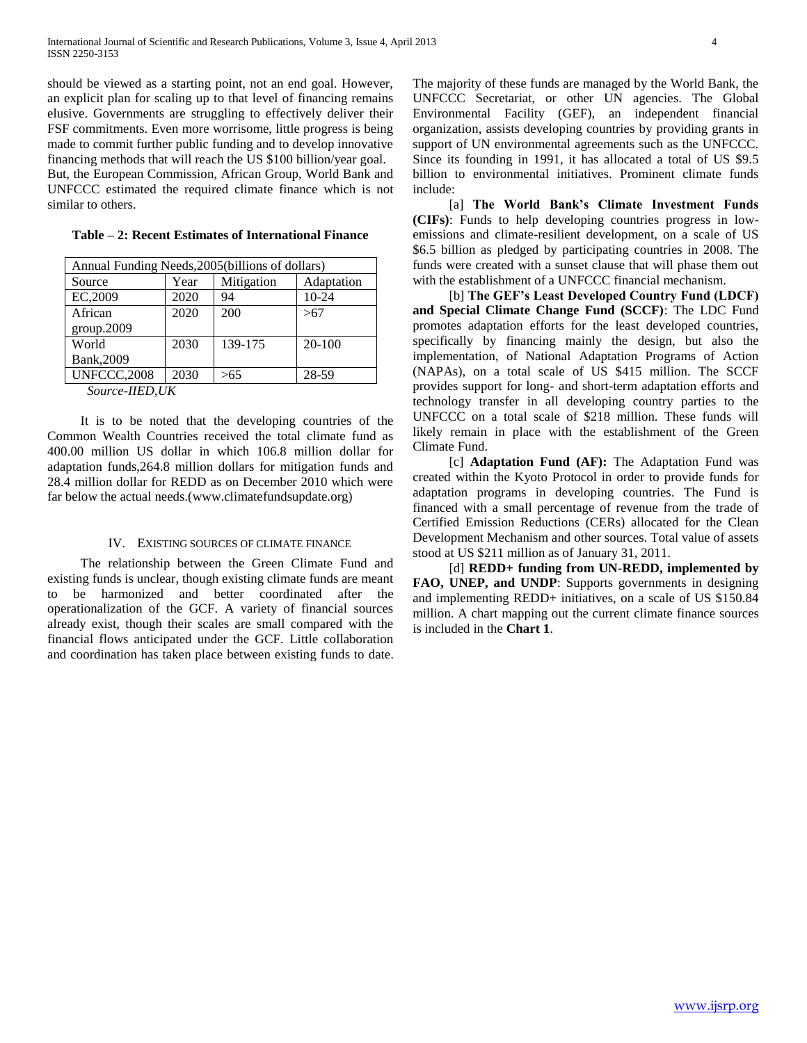should be viewed as a starting point, not an end goal. However, an explicit plan for scaling up to that level of financing remains elusive. Governments are struggling to effectively deliver their FSF commitments. Even more worrisome, little progress is being made to commit further public funding and to develop innovative financing methods that will reach the US \$100 billion/year goal. But, the European Commission, African Group, World Bank and UNFCCC estimated the required climate finance which is not similar to others.

| Annual Funding Needs, 2005 (billions of dollars) |      |            |            |  |
|--------------------------------------------------|------|------------|------------|--|
| Source                                           | Year | Mitigation | Adaptation |  |
| EC,2009                                          | 2020 | 94         | 10-24      |  |
| African                                          | 2020 | 200        | >67        |  |
| group.2009                                       |      |            |            |  |
| World                                            | 2030 | 139-175    | $20-100$   |  |
| Bank, 2009                                       |      |            |            |  |
| <b>UNFCCC,2008</b>                               | 2030 | >65        | 28-59      |  |
| $C_{\text{max}}$ in $U$                          |      |            |            |  |

**Table – 2: Recent Estimates of International Finance**

 *Source-IIED,UK*

 It is to be noted that the developing countries of the Common Wealth Countries received the total climate fund as 400.00 million US dollar in which 106.8 million dollar for adaptation funds,264.8 million dollars for mitigation funds and 28.4 million dollar for REDD as on December 2010 which were far below the actual needs.(www.climatefundsupdate.org)

#### IV. EXISTING SOURCES OF CLIMATE FINANCE

 The relationship between the Green Climate Fund and existing funds is unclear, though existing climate funds are meant to be harmonized and better coordinated after the operationalization of the GCF. A variety of financial sources already exist, though their scales are small compared with the financial flows anticipated under the GCF. Little collaboration and coordination has taken place between existing funds to date. The majority of these funds are managed by the World Bank, the UNFCCC Secretariat, or other UN agencies. The Global Environmental Facility (GEF), an independent financial organization, assists developing countries by providing grants in support of UN environmental agreements such as the UNFCCC. Since its founding in 1991, it has allocated a total of US \$9.5 billion to environmental initiatives. Prominent climate funds include:

 [a] **The World Bank's Climate Investment Funds (CIFs)**: Funds to help developing countries progress in lowemissions and climate-resilient development, on a scale of US \$6.5 billion as pledged by participating countries in 2008. The funds were created with a sunset clause that will phase them out with the establishment of a UNFCCC financial mechanism.

 [b] **The GEF's Least Developed Country Fund (LDCF) and Special Climate Change Fund (SCCF)**: The LDC Fund promotes adaptation efforts for the least developed countries, specifically by financing mainly the design, but also the implementation, of National Adaptation Programs of Action (NAPAs), on a total scale of US \$415 million. The SCCF provides support for long- and short-term adaptation efforts and technology transfer in all developing country parties to the UNFCCC on a total scale of \$218 million. These funds will likely remain in place with the establishment of the Green Climate Fund.

 [c] **Adaptation Fund (AF):** The Adaptation Fund was created within the Kyoto Protocol in order to provide funds for adaptation programs in developing countries. The Fund is financed with a small percentage of revenue from the trade of Certified Emission Reductions (CERs) allocated for the Clean Development Mechanism and other sources. Total value of assets stood at US \$211 million as of January 31, 2011.

 [d] **REDD+ funding from UN-REDD, implemented by FAO, UNEP, and UNDP**: Supports governments in designing and implementing REDD+ initiatives, on a scale of US \$150.84 million. A chart mapping out the current climate finance sources is included in the **Chart 1**.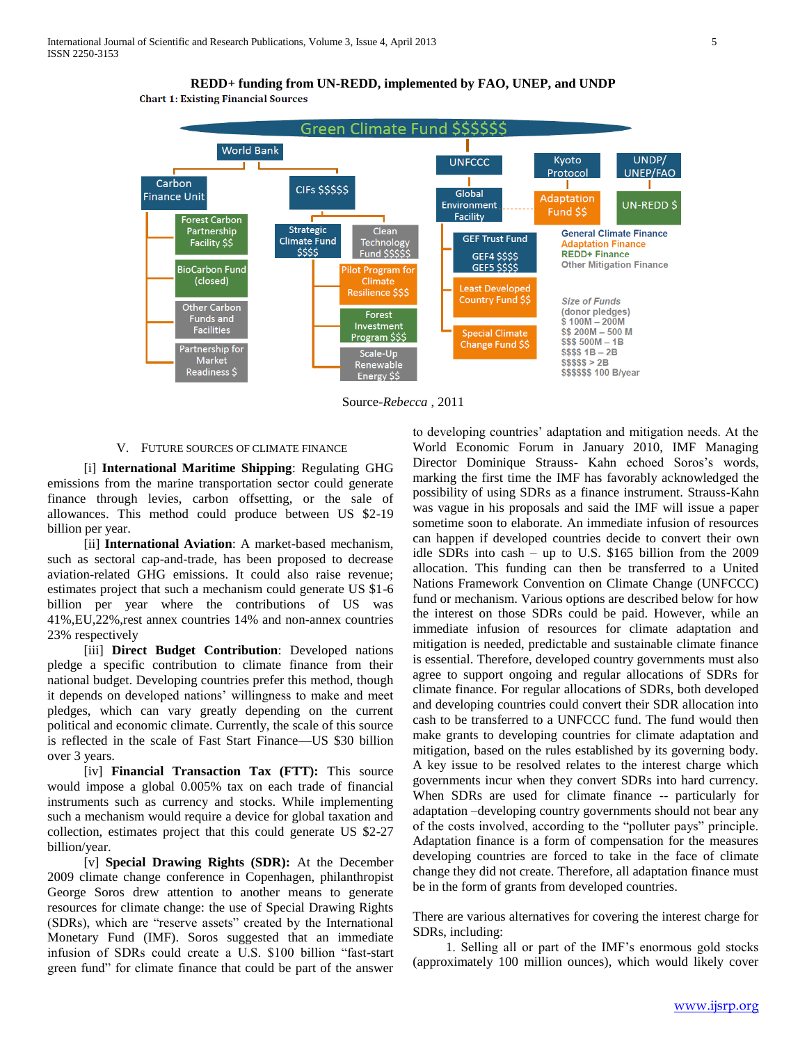

**REDD+ funding from UN-REDD, implemented by FAO, UNEP, and UNDP Chart 1: Existing Financial Sources** 

Source-*Rebecca* , 2011

#### V. FUTURE SOURCES OF CLIMATE FINANCE

 [i] **International Maritime Shipping**: Regulating GHG emissions from the marine transportation sector could generate finance through levies, carbon offsetting, or the sale of allowances. This method could produce between US \$2-19 billion per year.

[ii] **International Aviation**: A market-based mechanism, such as sectoral cap-and-trade, has been proposed to decrease aviation-related GHG emissions. It could also raise revenue; estimates project that such a mechanism could generate US \$1-6 billion per year where the contributions of US was 41%,EU,22%,rest annex countries 14% and non-annex countries 23% respectively

[iii] **Direct Budget Contribution**: Developed nations pledge a specific contribution to climate finance from their national budget. Developing countries prefer this method, though it depends on developed nations' willingness to make and meet pledges, which can vary greatly depending on the current political and economic climate. Currently, the scale of this source is reflected in the scale of Fast Start Finance—US \$30 billion over 3 years.

 [iv] **Financial Transaction Tax (FTT):** This source would impose a global 0.005% tax on each trade of financial instruments such as currency and stocks. While implementing such a mechanism would require a device for global taxation and collection, estimates project that this could generate US \$2-27 billion/year.

 [v] **Special Drawing Rights (SDR):** At the December 2009 climate change conference in Copenhagen, philanthropist George Soros drew attention to another means to generate resources for climate change: the use of Special Drawing Rights (SDRs), which are "reserve assets" created by the International Monetary Fund (IMF). Soros suggested that an immediate infusion of SDRs could create a U.S. \$100 billion "fast-start green fund" for climate finance that could be part of the answer

to developing countries' adaptation and mitigation needs. At the World Economic Forum in January 2010, IMF Managing Director Dominique Strauss- Kahn echoed Soros's words, marking the first time the IMF has favorably acknowledged the possibility of using SDRs as a finance instrument. Strauss-Kahn was vague in his proposals and said the IMF will issue a paper sometime soon to elaborate. An immediate infusion of resources can happen if developed countries decide to convert their own idle SDRs into cash – up to U.S. \$165 billion from the 2009 allocation. This funding can then be transferred to a United Nations Framework Convention on Climate Change (UNFCCC) fund or mechanism. Various options are described below for how the interest on those SDRs could be paid. However, while an immediate infusion of resources for climate adaptation and mitigation is needed, predictable and sustainable climate finance is essential. Therefore, developed country governments must also agree to support ongoing and regular allocations of SDRs for climate finance. For regular allocations of SDRs, both developed and developing countries could convert their SDR allocation into cash to be transferred to a UNFCCC fund. The fund would then make grants to developing countries for climate adaptation and mitigation, based on the rules established by its governing body. A key issue to be resolved relates to the interest charge which governments incur when they convert SDRs into hard currency. When SDRs are used for climate finance -- particularly for adaptation –developing country governments should not bear any of the costs involved, according to the "polluter pays" principle. Adaptation finance is a form of compensation for the measures developing countries are forced to take in the face of climate change they did not create. Therefore, all adaptation finance must be in the form of grants from developed countries.

There are various alternatives for covering the interest charge for SDRs, including:

 1. Selling all or part of the IMF's enormous gold stocks (approximately 100 million ounces), which would likely cover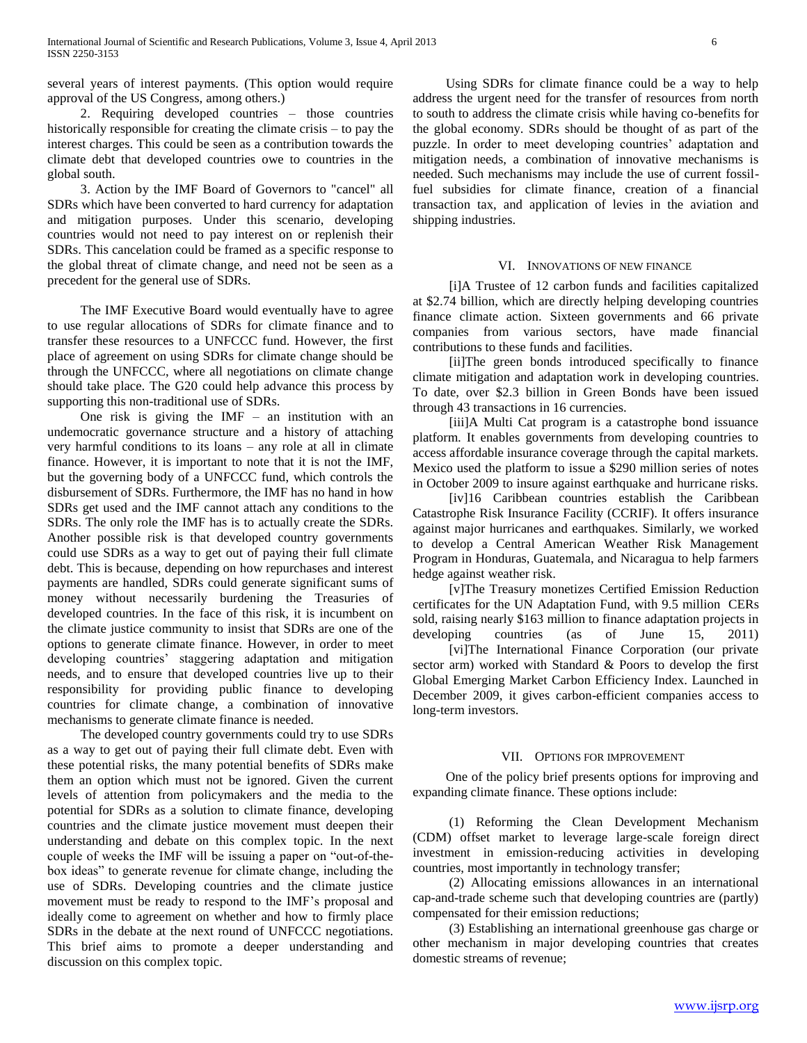several years of interest payments. (This option would require approval of the US Congress, among others.)

 2. Requiring developed countries – those countries historically responsible for creating the climate crisis – to pay the interest charges. This could be seen as a contribution towards the climate debt that developed countries owe to countries in the global south.

 3. Action by the IMF Board of Governors to "cancel" all SDRs which have been converted to hard currency for adaptation and mitigation purposes. Under this scenario, developing countries would not need to pay interest on or replenish their SDRs. This cancelation could be framed as a specific response to the global threat of climate change, and need not be seen as a precedent for the general use of SDRs.

 The IMF Executive Board would eventually have to agree to use regular allocations of SDRs for climate finance and to transfer these resources to a UNFCCC fund. However, the first place of agreement on using SDRs for climate change should be through the UNFCCC, where all negotiations on climate change should take place. The G20 could help advance this process by supporting this non-traditional use of SDRs.

One risk is giving the IMF  $-$  an institution with an undemocratic governance structure and a history of attaching very harmful conditions to its loans – any role at all in climate finance. However, it is important to note that it is not the IMF, but the governing body of a UNFCCC fund, which controls the disbursement of SDRs. Furthermore, the IMF has no hand in how SDRs get used and the IMF cannot attach any conditions to the SDRs. The only role the IMF has is to actually create the SDRs. Another possible risk is that developed country governments could use SDRs as a way to get out of paying their full climate debt. This is because, depending on how repurchases and interest payments are handled, SDRs could generate significant sums of money without necessarily burdening the Treasuries of developed countries. In the face of this risk, it is incumbent on the climate justice community to insist that SDRs are one of the options to generate climate finance. However, in order to meet developing countries' staggering adaptation and mitigation needs, and to ensure that developed countries live up to their responsibility for providing public finance to developing countries for climate change, a combination of innovative mechanisms to generate climate finance is needed.

 The developed country governments could try to use SDRs as a way to get out of paying their full climate debt. Even with these potential risks, the many potential benefits of SDRs make them an option which must not be ignored. Given the current levels of attention from policymakers and the media to the potential for SDRs as a solution to climate finance, developing countries and the climate justice movement must deepen their understanding and debate on this complex topic. In the next couple of weeks the IMF will be issuing a paper on "out-of-thebox ideas" to generate revenue for climate change, including the use of SDRs. Developing countries and the climate justice movement must be ready to respond to the IMF's proposal and ideally come to agreement on whether and how to firmly place SDRs in the debate at the next round of UNFCCC negotiations. This brief aims to promote a deeper understanding and discussion on this complex topic.

 Using SDRs for climate finance could be a way to help address the urgent need for the transfer of resources from north to south to address the climate crisis while having co-benefits for the global economy. SDRs should be thought of as part of the puzzle. In order to meet developing countries' adaptation and mitigation needs, a combination of innovative mechanisms is needed. Such mechanisms may include the use of current fossilfuel subsidies for climate finance, creation of a financial transaction tax, and application of levies in the aviation and shipping industries.

#### VI. INNOVATIONS OF NEW FINANCE

 [i]A Trustee of 12 carbon funds and facilities capitalized at \$2.74 billion, which are directly helping developing countries finance climate action. Sixteen governments and 66 private companies from various sectors, have made financial contributions to these funds and facilities.

 [ii]The green bonds introduced specifically to finance climate mitigation and adaptation work in developing countries. To date, over \$2.3 billion in Green Bonds have been issued through 43 transactions in 16 currencies.

 [iii]A Multi Cat program is a catastrophe bond issuance platform. It enables governments from developing countries to access affordable insurance coverage through the capital markets. Mexico used the platform to issue a \$290 million series of notes in October 2009 to insure against earthquake and hurricane risks.

 [iv]16 Caribbean countries establish the Caribbean Catastrophe Risk Insurance Facility (CCRIF). It offers insurance against major hurricanes and earthquakes. Similarly, we worked to develop a Central American Weather Risk Management Program in Honduras, Guatemala, and Nicaragua to help farmers hedge against weather risk.

 [v]The Treasury monetizes Certified Emission Reduction certificates for the UN Adaptation Fund, with 9.5 million CERs sold, raising nearly \$163 million to finance adaptation projects in developing countries (as of June 15, 2011)

 [vi]The International Finance Corporation (our private sector arm) worked with Standard & Poors to develop the first Global Emerging Market Carbon Efficiency Index. Launched in December 2009, it gives carbon-efficient companies access to long-term investors.

#### VII. OPTIONS FOR IMPROVEMENT

 One of the policy brief presents options for improving and expanding climate finance. These options include:

 (1) Reforming the Clean Development Mechanism (CDM) offset market to leverage large-scale foreign direct investment in emission-reducing activities in developing countries, most importantly in technology transfer;

 (2) Allocating emissions allowances in an international cap-and-trade scheme such that developing countries are (partly) compensated for their emission reductions;

 (3) Establishing an international greenhouse gas charge or other mechanism in major developing countries that creates domestic streams of revenue;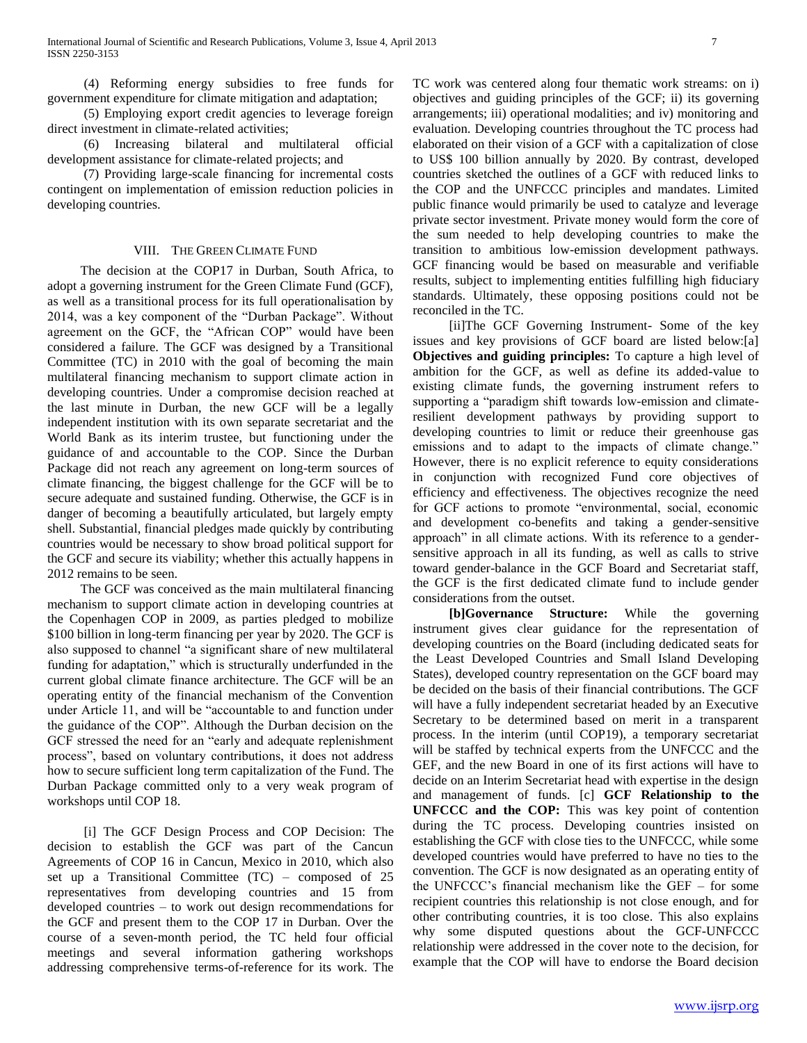(4) Reforming energy subsidies to free funds for government expenditure for climate mitigation and adaptation;

 (5) Employing export credit agencies to leverage foreign direct investment in climate-related activities;

 (6) Increasing bilateral and multilateral official development assistance for climate-related projects; and

 (7) Providing large-scale financing for incremental costs contingent on implementation of emission reduction policies in developing countries.

#### VIII. THE GREEN CLIMATE FUND

 The decision at the COP17 in Durban, South Africa, to adopt a governing instrument for the Green Climate Fund (GCF), as well as a transitional process for its full operationalisation by 2014, was a key component of the "Durban Package". Without agreement on the GCF, the "African COP" would have been considered a failure. The GCF was designed by a Transitional Committee (TC) in 2010 with the goal of becoming the main multilateral financing mechanism to support climate action in developing countries. Under a compromise decision reached at the last minute in Durban, the new GCF will be a legally independent institution with its own separate secretariat and the World Bank as its interim trustee, but functioning under the guidance of and accountable to the COP. Since the Durban Package did not reach any agreement on long-term sources of climate financing, the biggest challenge for the GCF will be to secure adequate and sustained funding. Otherwise, the GCF is in danger of becoming a beautifully articulated, but largely empty shell. Substantial, financial pledges made quickly by contributing countries would be necessary to show broad political support for the GCF and secure its viability; whether this actually happens in 2012 remains to be seen.

 The GCF was conceived as the main multilateral financing mechanism to support climate action in developing countries at the Copenhagen COP in 2009, as parties pledged to mobilize \$100 billion in long-term financing per year by 2020. The GCF is also supposed to channel "a significant share of new multilateral funding for adaptation," which is structurally underfunded in the current global climate finance architecture. The GCF will be an operating entity of the financial mechanism of the Convention under Article 11, and will be "accountable to and function under the guidance of the COP". Although the Durban decision on the GCF stressed the need for an "early and adequate replenishment process", based on voluntary contributions, it does not address how to secure sufficient long term capitalization of the Fund. The Durban Package committed only to a very weak program of workshops until COP 18.

 [i] The GCF Design Process and COP Decision: The decision to establish the GCF was part of the Cancun Agreements of COP 16 in Cancun, Mexico in 2010, which also set up a Transitional Committee (TC) – composed of 25 representatives from developing countries and 15 from developed countries – to work out design recommendations for the GCF and present them to the COP 17 in Durban. Over the course of a seven-month period, the TC held four official meetings and several information gathering workshops addressing comprehensive terms-of-reference for its work. The

TC work was centered along four thematic work streams: on i) objectives and guiding principles of the GCF; ii) its governing arrangements; iii) operational modalities; and iv) monitoring and evaluation. Developing countries throughout the TC process had elaborated on their vision of a GCF with a capitalization of close to US\$ 100 billion annually by 2020. By contrast, developed countries sketched the outlines of a GCF with reduced links to the COP and the UNFCCC principles and mandates. Limited public finance would primarily be used to catalyze and leverage private sector investment. Private money would form the core of the sum needed to help developing countries to make the transition to ambitious low-emission development pathways. GCF financing would be based on measurable and verifiable results, subject to implementing entities fulfilling high fiduciary standards. Ultimately, these opposing positions could not be reconciled in the TC.

 [ii]The GCF Governing Instrument- Some of the key issues and key provisions of GCF board are listed below:[a] **Objectives and guiding principles:** To capture a high level of ambition for the GCF, as well as define its added-value to existing climate funds, the governing instrument refers to supporting a "paradigm shift towards low-emission and climateresilient development pathways by providing support to developing countries to limit or reduce their greenhouse gas emissions and to adapt to the impacts of climate change." However, there is no explicit reference to equity considerations in conjunction with recognized Fund core objectives of efficiency and effectiveness. The objectives recognize the need for GCF actions to promote "environmental, social, economic and development co-benefits and taking a gender-sensitive approach" in all climate actions. With its reference to a gendersensitive approach in all its funding, as well as calls to strive toward gender-balance in the GCF Board and Secretariat staff, the GCF is the first dedicated climate fund to include gender considerations from the outset.

 **[b]Governance Structure:** While the governing instrument gives clear guidance for the representation of developing countries on the Board (including dedicated seats for the Least Developed Countries and Small Island Developing States), developed country representation on the GCF board may be decided on the basis of their financial contributions. The GCF will have a fully independent secretariat headed by an Executive Secretary to be determined based on merit in a transparent process. In the interim (until COP19), a temporary secretariat will be staffed by technical experts from the UNFCCC and the GEF, and the new Board in one of its first actions will have to decide on an Interim Secretariat head with expertise in the design and management of funds. [c] **GCF Relationship to the UNFCCC and the COP:** This was key point of contention during the TC process. Developing countries insisted on establishing the GCF with close ties to the UNFCCC, while some developed countries would have preferred to have no ties to the convention. The GCF is now designated as an operating entity of the UNFCCC's financial mechanism like the GEF – for some recipient countries this relationship is not close enough, and for other contributing countries, it is too close. This also explains why some disputed questions about the GCF-UNFCCC relationship were addressed in the cover note to the decision, for example that the COP will have to endorse the Board decision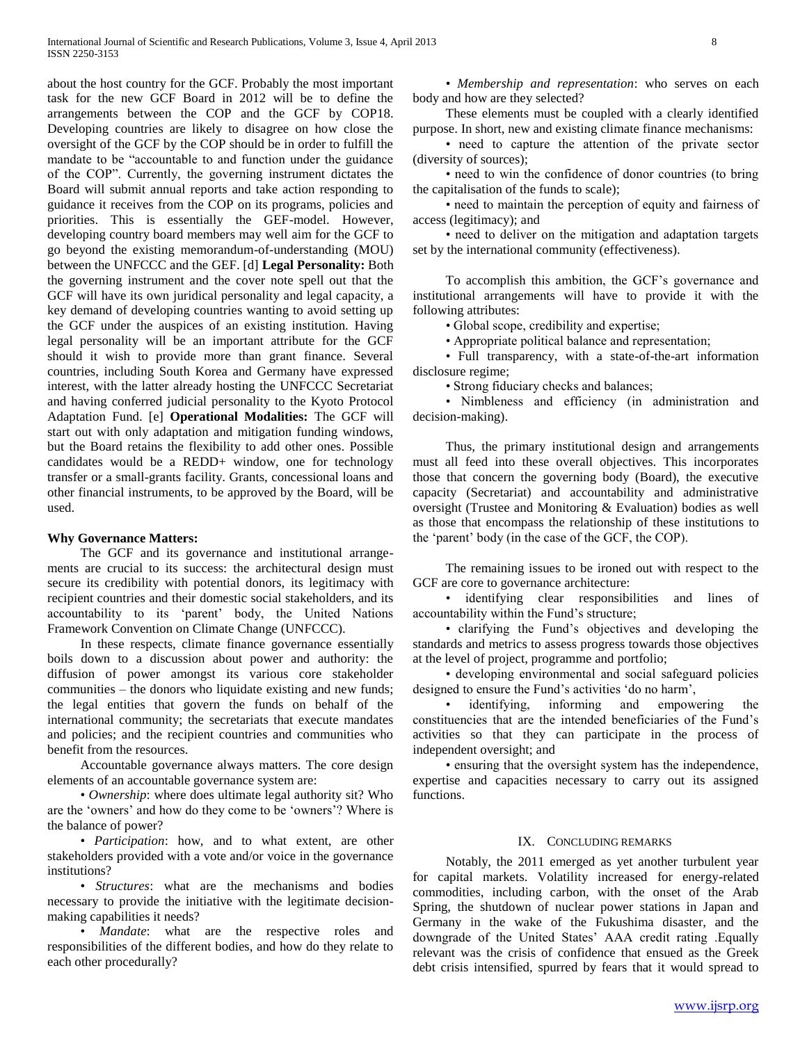about the host country for the GCF. Probably the most important task for the new GCF Board in 2012 will be to define the arrangements between the COP and the GCF by COP18. Developing countries are likely to disagree on how close the oversight of the GCF by the COP should be in order to fulfill the mandate to be "accountable to and function under the guidance of the COP". Currently, the governing instrument dictates the Board will submit annual reports and take action responding to guidance it receives from the COP on its programs, policies and priorities. This is essentially the GEF-model. However, developing country board members may well aim for the GCF to go beyond the existing memorandum-of-understanding (MOU) between the UNFCCC and the GEF. [d] **Legal Personality:** Both the governing instrument and the cover note spell out that the GCF will have its own juridical personality and legal capacity, a key demand of developing countries wanting to avoid setting up the GCF under the auspices of an existing institution. Having legal personality will be an important attribute for the GCF should it wish to provide more than grant finance. Several countries, including South Korea and Germany have expressed interest, with the latter already hosting the UNFCCC Secretariat and having conferred judicial personality to the Kyoto Protocol Adaptation Fund. [e] **Operational Modalities:** The GCF will start out with only adaptation and mitigation funding windows, but the Board retains the flexibility to add other ones. Possible candidates would be a REDD+ window, one for technology transfer or a small-grants facility. Grants, concessional loans and other financial instruments, to be approved by the Board, will be used.

#### **Why Governance Matters:**

 The GCF and its governance and institutional arrangements are crucial to its success: the architectural design must secure its credibility with potential donors, its legitimacy with recipient countries and their domestic social stakeholders, and its accountability to its 'parent' body, the United Nations Framework Convention on Climate Change (UNFCCC).

 In these respects, climate finance governance essentially boils down to a discussion about power and authority: the diffusion of power amongst its various core stakeholder communities – the donors who liquidate existing and new funds; the legal entities that govern the funds on behalf of the international community; the secretariats that execute mandates and policies; and the recipient countries and communities who benefit from the resources.

 Accountable governance always matters. The core design elements of an accountable governance system are:

 • *Ownership*: where does ultimate legal authority sit? Who are the 'owners' and how do they come to be 'owners'? Where is the balance of power?

 • *Participation*: how, and to what extent, are other stakeholders provided with a vote and/or voice in the governance institutions?

 • *Structures*: what are the mechanisms and bodies necessary to provide the initiative with the legitimate decisionmaking capabilities it needs?

 • *Mandate*: what are the respective roles and responsibilities of the different bodies, and how do they relate to each other procedurally?

 • *Membership and representation*: who serves on each body and how are they selected?

 These elements must be coupled with a clearly identified purpose. In short, new and existing climate finance mechanisms:

 • need to capture the attention of the private sector (diversity of sources);

 • need to win the confidence of donor countries (to bring the capitalisation of the funds to scale);

 • need to maintain the perception of equity and fairness of access (legitimacy); and

 • need to deliver on the mitigation and adaptation targets set by the international community (effectiveness).

 To accomplish this ambition, the GCF's governance and institutional arrangements will have to provide it with the following attributes:

• Global scope, credibility and expertise;

• Appropriate political balance and representation;

 • Full transparency, with a state-of-the-art information disclosure regime;

• Strong fiduciary checks and balances;

 • Nimbleness and efficiency (in administration and decision-making).

 Thus, the primary institutional design and arrangements must all feed into these overall objectives. This incorporates those that concern the governing body (Board), the executive capacity (Secretariat) and accountability and administrative oversight (Trustee and Monitoring & Evaluation) bodies as well as those that encompass the relationship of these institutions to the 'parent' body (in the case of the GCF, the COP).

 The remaining issues to be ironed out with respect to the GCF are core to governance architecture:

 • identifying clear responsibilities and lines of accountability within the Fund's structure;

 • clarifying the Fund's objectives and developing the standards and metrics to assess progress towards those objectives at the level of project, programme and portfolio;

 • developing environmental and social safeguard policies designed to ensure the Fund's activities 'do no harm',

 • identifying, informing and empowering the constituencies that are the intended beneficiaries of the Fund's activities so that they can participate in the process of independent oversight; and

 • ensuring that the oversight system has the independence, expertise and capacities necessary to carry out its assigned functions.

#### IX. CONCLUDING REMARKS

 Notably, the 2011 emerged as yet another turbulent year for capital markets. Volatility increased for energy-related commodities, including carbon, with the onset of the Arab Spring, the shutdown of nuclear power stations in Japan and Germany in the wake of the Fukushima disaster, and the downgrade of the United States' AAA credit rating .Equally relevant was the crisis of confidence that ensued as the Greek debt crisis intensified, spurred by fears that it would spread to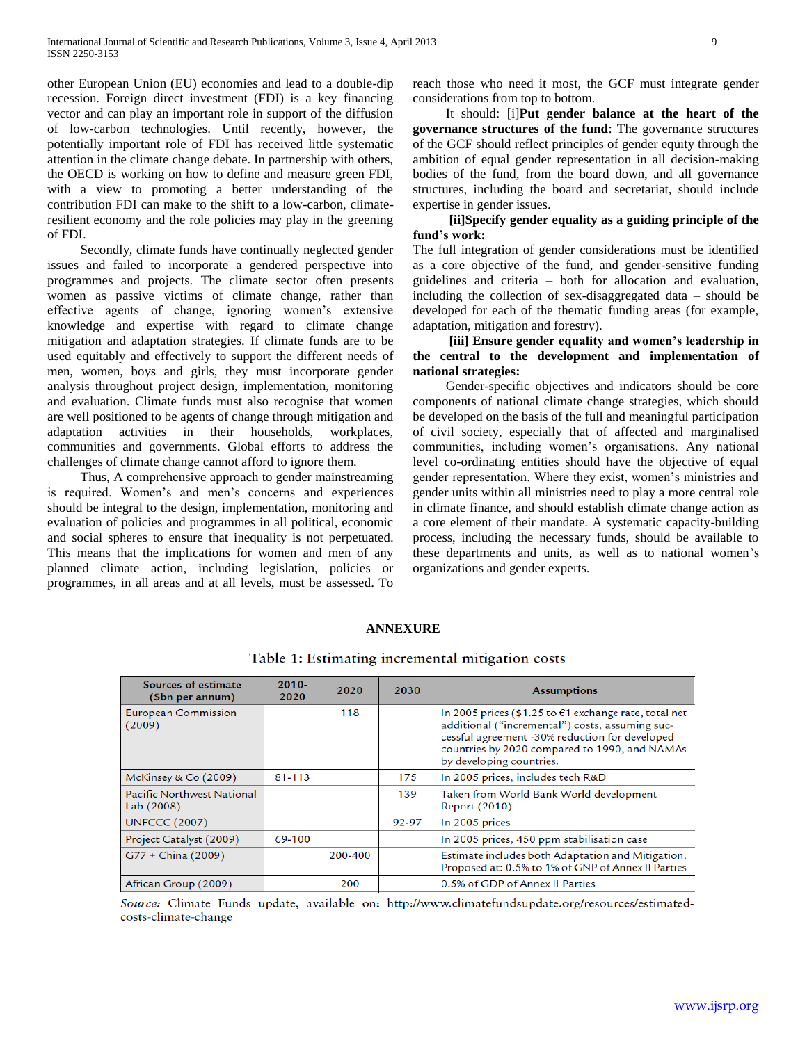other European Union (EU) economies and lead to a double-dip recession. Foreign direct investment (FDI) is a key financing vector and can play an important role in support of the diffusion of low-carbon technologies. Until recently, however, the potentially important role of FDI has received little systematic attention in the climate change debate. In partnership with others, the OECD is working on how to define and measure green FDI, with a view to promoting a better understanding of the contribution FDI can make to the shift to a low-carbon, climateresilient economy and the role policies may play in the greening of FDI.

 Secondly, climate funds have continually neglected gender issues and failed to incorporate a gendered perspective into programmes and projects. The climate sector often presents women as passive victims of climate change, rather than effective agents of change, ignoring women's extensive knowledge and expertise with regard to climate change mitigation and adaptation strategies. If climate funds are to be used equitably and effectively to support the different needs of men, women, boys and girls, they must incorporate gender analysis throughout project design, implementation, monitoring and evaluation. Climate funds must also recognise that women are well positioned to be agents of change through mitigation and adaptation activities in their households, workplaces, communities and governments. Global efforts to address the challenges of climate change cannot afford to ignore them.

 Thus, A comprehensive approach to gender mainstreaming is required. Women's and men's concerns and experiences should be integral to the design, implementation, monitoring and evaluation of policies and programmes in all political, economic and social spheres to ensure that inequality is not perpetuated. This means that the implications for women and men of any planned climate action, including legislation, policies or programmes, in all areas and at all levels, must be assessed. To

reach those who need it most, the GCF must integrate gender considerations from top to bottom.

 It should: [i]**Put gender balance at the heart of the governance structures of the fund**: The governance structures of the GCF should reflect principles of gender equity through the ambition of equal gender representation in all decision-making bodies of the fund, from the board down, and all governance structures, including the board and secretariat, should include expertise in gender issues.

## **[ii]Specify gender equality as a guiding principle of the fund's work:**

The full integration of gender considerations must be identified as a core objective of the fund, and gender-sensitive funding guidelines and criteria – both for allocation and evaluation, including the collection of sex-disaggregated data – should be developed for each of the thematic funding areas (for example, adaptation, mitigation and forestry).

## **[iii] Ensure gender equality and women's leadership in the central to the development and implementation of national strategies:**

 Gender-specific objectives and indicators should be core components of national climate change strategies, which should be developed on the basis of the full and meaningful participation of civil society, especially that of affected and marginalised communities, including women's organisations. Any national level co-ordinating entities should have the objective of equal gender representation. Where they exist, women's ministries and gender units within all ministries need to play a more central role in climate finance, and should establish climate change action as a core element of their mandate. A systematic capacity-building process, including the necessary funds, should be available to these departments and units, as well as to national women's organizations and gender experts.

| <b>Sources of estimate</b><br>(\$bn per annum) | $2010 -$<br>2020 | 2020    | 2030  | <b>Assumptions</b>                                                                                                                                                                                                                           |
|------------------------------------------------|------------------|---------|-------|----------------------------------------------------------------------------------------------------------------------------------------------------------------------------------------------------------------------------------------------|
| <b>European Commission</b><br>(2009)           |                  | 118     |       | In 2005 prices (\$1.25 to $\in$ 1 exchange rate, total net<br>additional ("incremental") costs, assuming suc-<br>cessful agreement -30% reduction for developed<br>countries by 2020 compared to 1990, and NAMAs<br>by developing countries. |
| McKinsey & Co (2009)                           | 81-113           |         | 175   | In 2005 prices, includes tech R&D                                                                                                                                                                                                            |
| Pacific Northwest National<br>Lab (2008)       |                  |         | 139   | Taken from World Bank World development<br><b>Report (2010)</b>                                                                                                                                                                              |
| <b>UNFCCC (2007)</b>                           |                  |         | 92-97 | In 2005 prices                                                                                                                                                                                                                               |
| Project Catalyst (2009)                        | 69-100           |         |       | In 2005 prices, 450 ppm stabilisation case                                                                                                                                                                                                   |
| $G77 + China (2009)$                           |                  | 200-400 |       | Estimate includes both Adaptation and Mitigation.<br>Proposed at: 0.5% to 1% of GNP of Annex II Parties                                                                                                                                      |
| African Group (2009)                           |                  | 200     |       | 0.5% of GDP of Annex II Parties                                                                                                                                                                                                              |

### **ANNEXURE**

Table 1: Estimating incremental mitigation costs

Source: Climate Funds update, available on: http://www.climatefundsupdate.org/resources/estimatedcosts-climate-change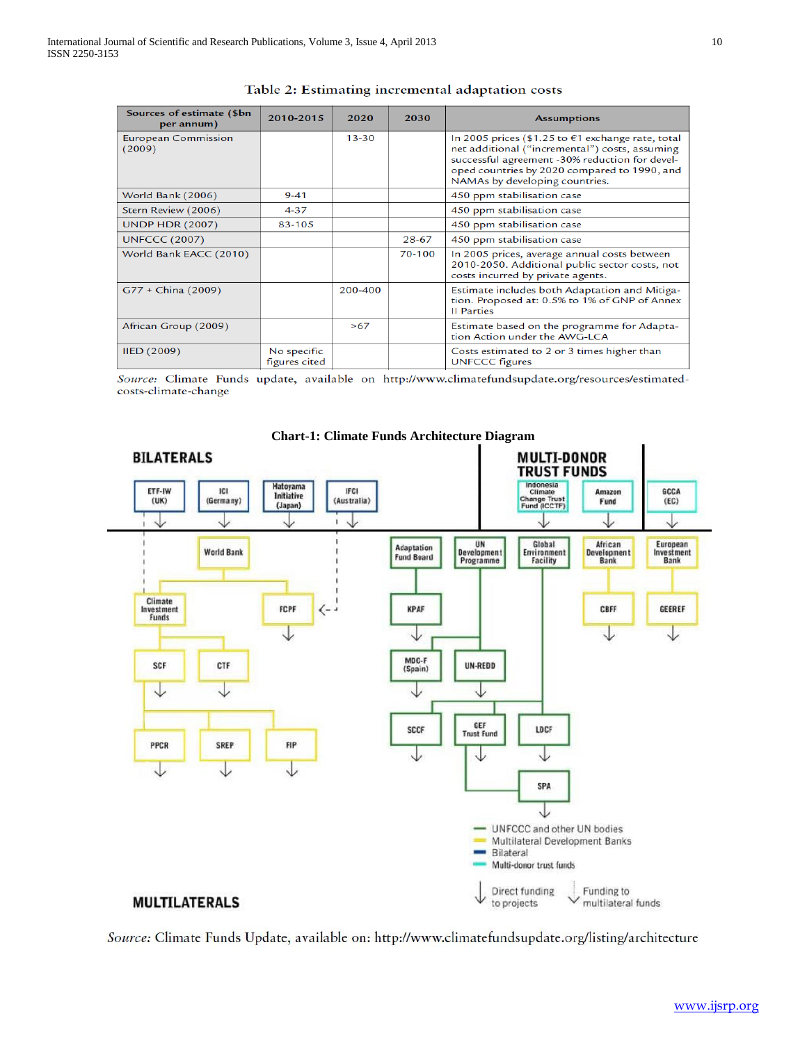| Sources of estimate (\$bn<br>per annum) | 2010-2015                    | 2020      | 2030   | <b>Assumptions</b>                                                                                                                                                                                                                        |
|-----------------------------------------|------------------------------|-----------|--------|-------------------------------------------------------------------------------------------------------------------------------------------------------------------------------------------------------------------------------------------|
| <b>European Commission</b><br>(2009)    |                              | $13 - 30$ |        | In 2005 prices (\$1.25 to $€1$ exchange rate, total<br>net additional ("incremental") costs, assuming<br>successful agreement -30% reduction for devel-<br>oped countries by 2020 compared to 1990, and<br>NAMAs by developing countries. |
| World Bank (2006)                       | $9 - 41$                     |           |        | 450 ppm stabilisation case                                                                                                                                                                                                                |
| Stern Review (2006)                     | $4 - 37$                     |           |        | 450 ppm stabilisation case                                                                                                                                                                                                                |
| <b>UNDP HDR (2007)</b>                  | 83-105                       |           |        | 450 ppm stabilisation case                                                                                                                                                                                                                |
| <b>UNFCCC (2007)</b>                    |                              |           | 28-67  | 450 ppm stabilisation case                                                                                                                                                                                                                |
| World Bank EACC (2010)                  |                              |           | 70-100 | In 2005 prices, average annual costs between<br>2010-2050. Additional public sector costs, not<br>costs incurred by private agents.                                                                                                       |
| $G77 + China (2009)$                    |                              | 200-400   |        | Estimate includes both Adaptation and Mitiga-<br>tion. Proposed at: 0.5% to 1% of GNP of Annex<br><b>II</b> Parties                                                                                                                       |
| African Group (2009)                    |                              | >67       |        | Estimate based on the programme for Adapta-<br>tion Action under the AWG-LCA                                                                                                                                                              |
| <b>IIED (2009)</b>                      | No specific<br>figures cited |           |        | Costs estimated to 2 or 3 times higher than<br><b>UNFCCC</b> figures                                                                                                                                                                      |

Table 2: Estimating incremental adaptation costs

Source: Climate Funds update, available on http://www.climatefundsupdate.org/resources/estimatedcosts-climate-change



**Chart-1: Climate Funds Architecture Diagram**

Source: Climate Funds Update, available on: http://www.climatefundsupdate.org/listing/architecture